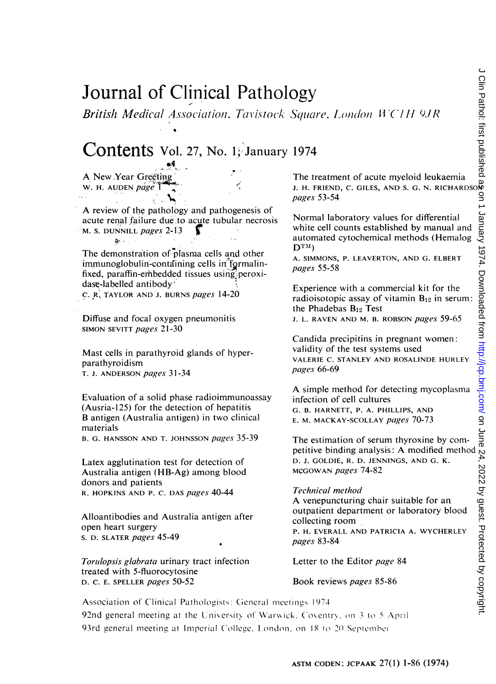# Journal of Clinical Pathology

British Medical Association. Tavistock Square. London WC1H 9JR

## Contents Vol. 27, No. 1, January <sup>1974</sup>

A New Year Greeting W. H. AUDEN page 1

歎:

A review of the pathology and pathogenesis of acute renal failure due'to acute tubular necrosis M. S. DUNNILL pages 2-13

The demonstration of plasma cells and other immunoglobulin-containing cells in formalinfixed, paraffin-erhbedded tissues using'peroxidase-labelled antibody' C. R, TAYLOR AND J. BURNS pages 14-20

Diffuse and focal oxygen pneumonitis SIMON SEVITT pages 21-30

Mast cells in parathyroid glands of hyperparathyroidism T. J. ANDERSON pages 31-34

Evaluation of a solid phase radioimmunoassay (Ausria-125) for the detection of hepatitis B antigen (Australia antigen) in two clinical materials

B. G. HANSSON AND T. JOHNSSON pages 35-39

Latex agglutination test for detection of Australia antigen (HB-Ag) among blood donors and patients R. HOPKINS AND P. C. DAS pages 40-44

Alloantibodies and Australia antigen after open heart surgery S. D. SLATER pages 45-49

Torulopsis glabrata urinary tract infection treated with 5-fluorocytosine D. C. E. SPELLER pages 50-52

The treatment of acute myeloid leukaemia J. H. FRIEND, C. GILES, AND S. G. N. RICHARDSON pages 53-54

Normal laboratory values for differential white cell counts established by manual and automated cytochemical methods (Hemalog  $\mathbf{D}_{\text{TM}}$ 

A. SIMMONS, P. LEAVERTON, AND G. ELBERT pages 55-58

Experience with a commercial kit for the radioisotopic assay of vitamin  $B_{12}$  in serum: the Phadebas  $B_{12}$  Test

J. L. RAVEN AND M. B. ROBSON *pages* 59-65

Candida precipitins in pregnant women: validity of the test systems used VALERIE C. STANLEY AND ROSALINDE HURLEY pages 66-69

A simple method for detecting mycoplasma infection of cell cultures G. B. HARNETT, P. A. PHILLIPS, AND e. m. mackay-scollay *pages 7*0-73

The estimation of serum thyroxine by com-petitive binding analysis: A modified method D. J. GOLDIE, R. D. JENNINGS, AND G. K. MCGOWAN pages 74-82

Technical method A venepuncturing chair suitable for an outpatient department or laboratory blood collecting room, P. H. EVERALL AND PATRICIA A. WYCHERLEY pages 83-84

Letter to the Editor *page* 84

#### Book reviews *pages* 85-86

Association of Clinical Pathologists: General meetings 1974 92nd general meeting at the University of Warwick, Coventry, on 3 to 5 April 93rd general meeting at Imperial College. London. on 18 to 20 September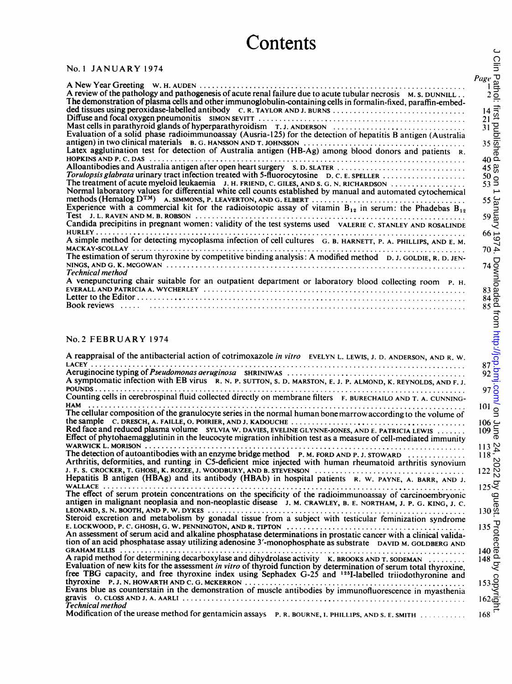#### No. <sup>1</sup> JANUARY 1974

| A review of the pathology and pathogenesis of acute renal failure due to acute tubular necrosis M. S. DUNNILL.<br>The demonstration of plasma cells and other immunoglobulin-containing cells in formalin-fixed, paraffin-embed- |
|----------------------------------------------------------------------------------------------------------------------------------------------------------------------------------------------------------------------------------|
|                                                                                                                                                                                                                                  |
| Mast cells in parathyroid glands of hyperparathyroidism T. J. ANDERSON                                                                                                                                                           |
| Evaluation of a solid phase radioimmunoassay (Ausria-125) for the detection of hepatitis B antigen (Australia                                                                                                                    |
| Latex agglutination test for detection of Australia antigen (HB-Ag) among blood donors and patients R.                                                                                                                           |
| Alloantibodies and Australia antigen after open heart surgery s. D. SLATER                                                                                                                                                       |
|                                                                                                                                                                                                                                  |
| The treatment of acute myeloid leukaemia J. H. FRIEND, C. GILES, AND S. G. N. RICHARDSON<br>Normal laboratory values for differential white cell counts established by manual and automated cytochemical                         |
| methods (Hemalog $D^{TM}$ ) A. SIMMONS, P. LEAVERTON, AND G. ELBERT $\ldots \ldots \ldots \ldots \ldots \ldots \ldots \ldots \ldots \ldots$                                                                                      |
| Experience with a commercial kit for the radioisotopic assay of vitamin $B_{12}$ in serum: the Phadebas $B_{12}$                                                                                                                 |
| Candida precipitins in pregnant women: validity of the test systems used valerie C. STANLEY AND ROSALINDE                                                                                                                        |
| A simple method for detecting mycoplasma infection of cell cultures G. B. HARNETT, P. A. PHILLIPS, AND E. M.                                                                                                                     |
|                                                                                                                                                                                                                                  |
| The estimation of serum thyroxine by competitive binding analysis: A modified method D. J. GOLDIE, R. D. JEN-                                                                                                                    |
| Technical method                                                                                                                                                                                                                 |
| A venepuncturing chair suitable for an outpatient department or laboratory blood collecting room P. H.                                                                                                                           |
|                                                                                                                                                                                                                                  |
|                                                                                                                                                                                                                                  |

#### No.2 FEBRUARY <sup>1974</sup>

| <b>UNULLU</b>                                                                                                                                                                                                                                                                                                                                                                        |                                                                                                                                                                           |
|--------------------------------------------------------------------------------------------------------------------------------------------------------------------------------------------------------------------------------------------------------------------------------------------------------------------------------------------------------------------------------------|---------------------------------------------------------------------------------------------------------------------------------------------------------------------------|
| <b>No. 1 JANUARY 1974</b>                                                                                                                                                                                                                                                                                                                                                            | Cllin                                                                                                                                                                     |
| A review of the pathology and pathogenesis of acute renal failure due to acute tubular necrosis M. S. DUNNILL.<br>The demonstration of plasma cells and other immunoglobulin-containing cells in formalin-fixed, paraffin-embed-<br>ded tissues using peroxidase-labelled antibody C.R. TAYLOR AND J. BURNS<br>Mast cells in parathyroid glands of hyperparathyroidism T.J. ANDERSON | $\frac{12}{2}$<br>$\frac{14}{31}$<br>$\frac{11}{31}$<br>$\frac{11}{35}$<br>$\frac{11}{35}$<br>Page                                                                        |
| Evaluation of a solid phase radioimmunoassay (Ausria-125) for the detection of hepatitis B antigen (Australia<br>Latex agglutination test for detection of Australia antigen (HB-Ag) among blood donors and patients R.                                                                                                                                                              | $rac{3}{40}$                                                                                                                                                              |
| The treatment of acute myeloid leukaemia J. H. FRIEND, C. GILES, AND S. G. N. RICHARDSON<br>Normal laboratory values for differential white cell counts established by manual and automated cytochemical<br>Experience with a commercial kit for the radioisotopic assay of vitamin $B_{12}$ in serum: the Phadebas $B_{12}$                                                         | 45 %<br>$\frac{50}{53}$ $\frac{8}{5}$<br>$\overline{\phantom{a}}$<br>$55 \frac{C}{20}$<br>$59 \frac{C}{20}$                                                               |
| Candida precipitins in pregnant women: validity of the test systems used VALERIE C. STANLEY AND ROSALINDE                                                                                                                                                                                                                                                                            | ২<br>$66 \rightarrow$                                                                                                                                                     |
| A simple method for detecting mycoplasma infection of cell cultures G. B. HARNETT, P. A. PHILLIPS, AND E. M.                                                                                                                                                                                                                                                                         | $^{26}_{40}$                                                                                                                                                              |
| The estimation of serum thyroxine by competitive binding analysis: A modified method D. J. GOLDIE, R. D. JEN-<br>Technical method                                                                                                                                                                                                                                                    |                                                                                                                                                                           |
| A venepuncturing chair suitable for an outpatient department or laboratory blood collecting room P. H.                                                                                                                                                                                                                                                                               |                                                                                                                                                                           |
| No. 2 FEBRUARY 1974                                                                                                                                                                                                                                                                                                                                                                  |                                                                                                                                                                           |
| A reappraisal of the antibacterial action of cotrimoxazole in vitro EVELYN L. LEWIS, J. D. ANDERSON, AND R. W.                                                                                                                                                                                                                                                                       |                                                                                                                                                                           |
| A symptomatic infection with EB virus R. N. P. SUTTON, S. D. MARSTON, E. J. P. ALMOND, K. REYNOLDS, AND F. J.                                                                                                                                                                                                                                                                        |                                                                                                                                                                           |
| Counting cells in cerebrospinal fluid collected directly on membrane filters F. BURECHAILO AND T. A. CUNNING-                                                                                                                                                                                                                                                                        | 101                                                                                                                                                                       |
| The cellular composition of the granulocyte series in the normal human bone marrow according to the volume of<br>Red face and reduced plasma volume SYLVIA W. DAVIES, EVELINE GLYNNE-JONES, AND E. PATRICIA LEWIS<br>Effect of phytohaemagglutinin in the leucocyte migration inhibition test as a measure of cell-mediated immunity                                                 | $\frac{106}{109}$ $\frac{2}{5}$<br>ወ                                                                                                                                      |
| The detection of autoantibodies with an enzyme bridge method P. M. FORD AND P. J. STOWARD<br>Arthritis, deformities, and runting in C5-deficient mice injected with human rheumatoid arthritis synovium<br>Hepatitis B antigen (HBAg) and its antibody (HBAb) in hospital patients R. W. PAYNE, A. BARR, AND J.                                                                      | 113 $N$<br>$118 - 7$<br>N<br>$122\frac{8}{10}$<br>125Z                                                                                                                    |
| The effect of serum protein concentrations on the specificity of the radioimmunoassay of carcinoembryonic<br>antigen in malignant neoplasia and non-neoplastic disease J. M. CRAWLEY, B. E. NORTHAM, J. P. G. KING, J. C.                                                                                                                                                            | Q<br>$130\frac{0}{12}$                                                                                                                                                    |
| Steroid excretion and metabolism by gonadal tissue from a subject with testicular feminization syndrome<br>An assessment of serum acid and alkaline phosphatase determinations in prostatic cancer with a clinical valida-<br>tion of an acid phosphatase assay utilizing adenosine 3'-monophosphate as substrate DAVID M. GOLDBERG AND                                              | $\begin{array}{r} 135 \overline{\smash{\big)}\ 0} \\ 140 \overline{\smash{\big)}\ 0} \\ 148 \overline{\smash{\big)}\ 0} \\ 0 \\ \underline{\smash{\big)}\ 0} \end{array}$ |
| A rapid method for determining decarboxylase and dihydrolase activity K. BROOKS AND T. SODEMAN<br>Evaluation of new kits for the assessment in vitro of thyroid function by determination of serum total thyroxine,<br>free TBG capacity, and free thyroxine index using Sephadex G-25 and <sup>125</sup> I-labelled triiodothyronine and                                            |                                                                                                                                                                           |
| Evans blue as counterstain in the demonstration of muscle antibodies by immunofluorescence in myasthenia<br>Technical method                                                                                                                                                                                                                                                         | $153\frac{6}{2}$<br>$162\frac{6}{2}$                                                                                                                                      |
| Modification of the urease method for gentamicin assays P. R. BOURNE, I. PHILLIPS, AND S. E. SMITH                                                                                                                                                                                                                                                                                   | 168                                                                                                                                                                       |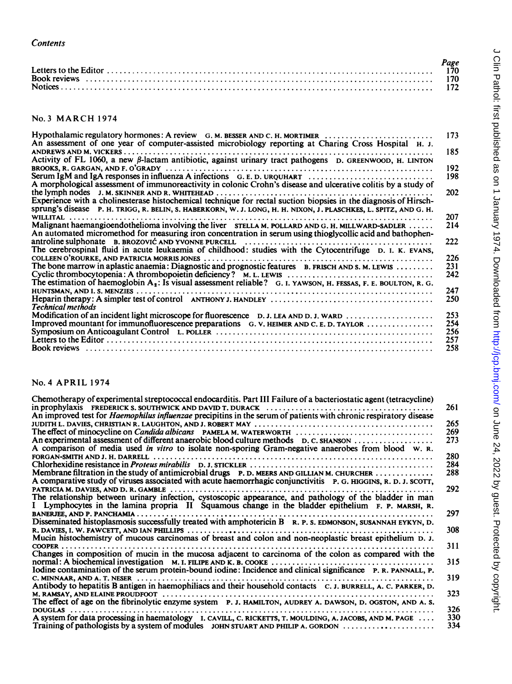| Contents                                                                   |                           |
|----------------------------------------------------------------------------|---------------------------|
|                                                                            | Page<br>170<br>170<br>172 |
| <b>No. 3 MARCH 1974</b>                                                    |                           |
| Hypothalamic regulatory hormones: A review G. M. BESSER AND C. H. MORTIMER | 173                       |

#### No.3 MARCH <sup>1974</sup>

| Hypothalamic regulatory hormones: A review G. M. BESSER AND C. H. MORTIMER<br>173<br>An assessment of one year of computer-assisted microbiology reporting at Charing Cross Hospital H. J.<br>185<br>Activity of FL 1060, a new $\beta$ -lactam antibiotic, against urinary tract pathogens D. GREENWOOD, H. LINTON<br>192<br>Serum IgM and IgA responses in influenza A infections $G, E, D$ . UROUHART $\ldots$<br>198<br>A morphological assessment of immunoreactivity in colonic Crohn's disease and ulcerative colitis by a study of<br>202<br>Experience with a cholinesterase histochemical technique for rectal suction biopsies in the diagnosis of Hirsch-<br>Sprung's disease P. H. TRIGG, R. BELIN, S. HABERKORN, W. J. LONG, H. H. NIXON, J. PLASCHKES, L. SPITZ, AND G. H.<br>207<br>214<br>An automated micromethod for measuring iron concentration in serum using thioglycollic acid and bathophen-<br>222<br>The cerebrospinal fluid in acute leukaemia of childhood: studies with the Cytocentrifuge D. I. K. EVANS,<br>226<br>The bone marrow in aplastic anaemia: Diagnostic and prognostic features B. FRISCH AND S. M. LEWIS<br>231<br>242<br>The estimation of haemoglobin $A_2$ : Is visual assessment reliable? G. I. YAWSON, H. FESSAS, F. E. BOULTON, R. G.<br>247<br>250<br><b>Technical methods</b><br>253<br>Modification of an incident light microscope for fluorescence D. J. LEA AND D. J. WARD<br>Improved mountant for immunofluorescence preparations $G. V.$ HEIMER AND C. E. D. TAYLOR $\dots\dots\dots\dots\dots$<br>254<br>256<br>257<br>258 |  |
|-----------------------------------------------------------------------------------------------------------------------------------------------------------------------------------------------------------------------------------------------------------------------------------------------------------------------------------------------------------------------------------------------------------------------------------------------------------------------------------------------------------------------------------------------------------------------------------------------------------------------------------------------------------------------------------------------------------------------------------------------------------------------------------------------------------------------------------------------------------------------------------------------------------------------------------------------------------------------------------------------------------------------------------------------------------------------------------------------------------------------------------------------------------------------------------------------------------------------------------------------------------------------------------------------------------------------------------------------------------------------------------------------------------------------------------------------------------------------------------------------------------------------------------------------------------------------------------------|--|
| No. 4 APRIL 1974<br>Chemotherapy of experimental streptococcal endocarditis. Part III Failure of a bacteriostatic agent (tetracycline)<br>261                                                                                                                                                                                                                                                                                                                                                                                                                                                                                                                                                                                                                                                                                                                                                                                                                                                                                                                                                                                                                                                                                                                                                                                                                                                                                                                                                                                                                                           |  |

#### No.4 APRIL 1974

| Chemotherapy of experimental streptococcal endocarditis. Part III Failure of a bacteriostatic agent (tetracycline)<br>An improved test for <i>Haemophilus influenzae</i> precipitins in the serum of patients with chronic respiratory disease<br>The effect of minocycline on <i>Candida albicans</i> PAMELA M. WATERWORTH<br>An experimental assessment of different anaerobic blood culture methods D. C. SHANSON<br>A comparison of media used in vitro to isolate non-sporing Gram-negative anaerobes from blood w. R.<br>Membrane filtration in the study of antimicrobial drugs P. D. MEERS AND GILLIAN M. CHURCHER<br>A comparative study of viruses associated with acute haemorrhagic conjunctivitis P. G. HIGGINS, R. D. J. SCOTT,<br>The relationship between urinary infection, cystoscopic appearance, and pathology of the bladder in man<br>I Lymphocytes in the lamina propria II Squamous change in the bladder epithelium F. P. MARSH, R.<br>Disseminated histoplasmosis successfully treated with amphotericin B R. P. S. EDMONSON, SUSANNAH EYKYN, D.<br>Mucin histochemistry of mucous carcinomas of breast and colon and non-neoplastic breast epithelium D. J.<br>Changes in composition of mucin in the mucosa adjacent to carcinoma of the colon as compared with the<br>Iodine contamination of the serum protein-bound iodine: Incidence and clinical significance P. R. PANNALL, P.<br>Antibody to hepatitis B antigen in haemophiliacs and their household contacts C. J. BURRELL, A. C. PARKER, D.<br>The effect of age on the fibrinolytic enzyme system P. J. HAMILTON, AUDREY A. DAWSON, D. OGSTON, AND A. S.<br>326<br>A system for data processing in haematology I. CAVILL, C. RICKETTS, T. MOULDING, A. JACOBS, AND M. PAGE<br>Training of pathologists by a system of modules john STUART AND PHILIP A. GORDON $\dots\dots\dots\dots\dots\dots$ | NO. 4 APRIL 1974 |                                                      |
|----------------------------------------------------------------------------------------------------------------------------------------------------------------------------------------------------------------------------------------------------------------------------------------------------------------------------------------------------------------------------------------------------------------------------------------------------------------------------------------------------------------------------------------------------------------------------------------------------------------------------------------------------------------------------------------------------------------------------------------------------------------------------------------------------------------------------------------------------------------------------------------------------------------------------------------------------------------------------------------------------------------------------------------------------------------------------------------------------------------------------------------------------------------------------------------------------------------------------------------------------------------------------------------------------------------------------------------------------------------------------------------------------------------------------------------------------------------------------------------------------------------------------------------------------------------------------------------------------------------------------------------------------------------------------------------------------------------------------------------------------------------------------------------------------------------------------------------------------------------------------------------|------------------|------------------------------------------------------|
|                                                                                                                                                                                                                                                                                                                                                                                                                                                                                                                                                                                                                                                                                                                                                                                                                                                                                                                                                                                                                                                                                                                                                                                                                                                                                                                                                                                                                                                                                                                                                                                                                                                                                                                                                                                                                                                                                        |                  | 261<br>265<br>269<br>273<br>280<br>284<br>288<br>292 |
|                                                                                                                                                                                                                                                                                                                                                                                                                                                                                                                                                                                                                                                                                                                                                                                                                                                                                                                                                                                                                                                                                                                                                                                                                                                                                                                                                                                                                                                                                                                                                                                                                                                                                                                                                                                                                                                                                        |                  | 297                                                  |
|                                                                                                                                                                                                                                                                                                                                                                                                                                                                                                                                                                                                                                                                                                                                                                                                                                                                                                                                                                                                                                                                                                                                                                                                                                                                                                                                                                                                                                                                                                                                                                                                                                                                                                                                                                                                                                                                                        |                  | 308                                                  |
|                                                                                                                                                                                                                                                                                                                                                                                                                                                                                                                                                                                                                                                                                                                                                                                                                                                                                                                                                                                                                                                                                                                                                                                                                                                                                                                                                                                                                                                                                                                                                                                                                                                                                                                                                                                                                                                                                        |                  | 311<br>315                                           |
|                                                                                                                                                                                                                                                                                                                                                                                                                                                                                                                                                                                                                                                                                                                                                                                                                                                                                                                                                                                                                                                                                                                                                                                                                                                                                                                                                                                                                                                                                                                                                                                                                                                                                                                                                                                                                                                                                        |                  | 319                                                  |
|                                                                                                                                                                                                                                                                                                                                                                                                                                                                                                                                                                                                                                                                                                                                                                                                                                                                                                                                                                                                                                                                                                                                                                                                                                                                                                                                                                                                                                                                                                                                                                                                                                                                                                                                                                                                                                                                                        |                  | 323                                                  |
|                                                                                                                                                                                                                                                                                                                                                                                                                                                                                                                                                                                                                                                                                                                                                                                                                                                                                                                                                                                                                                                                                                                                                                                                                                                                                                                                                                                                                                                                                                                                                                                                                                                                                                                                                                                                                                                                                        |                  | 330<br>334                                           |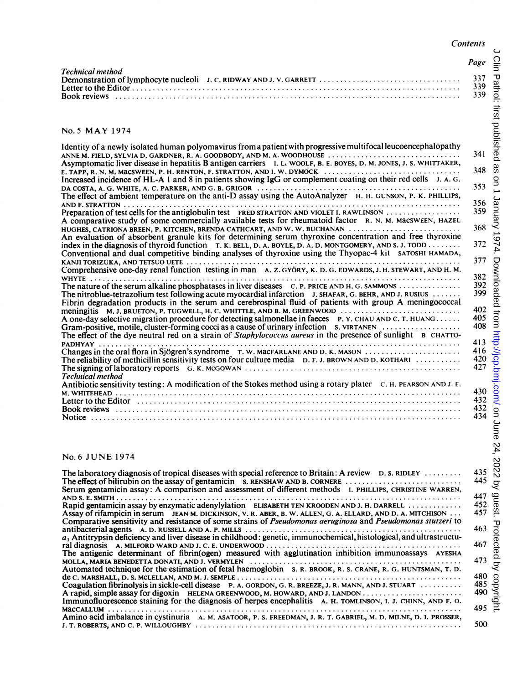$\epsilon$ 

|                                                                                                                                                                                                                                                                                                                                                                                                                                                                                                                                                                                                                                                                                                                                                                                                                                                                                                                                                                                                                                                                                                                                                                                                                                                                                                                                                                                                                                                                                                                                                                                                                                                                                                                                                                                                                                                                                                                                                                                                                                                                                                                                                                                                                                                                                                                                                                                                                                                                      | Page                                                                                                                                                                                              | ں<br>ا                                       |
|----------------------------------------------------------------------------------------------------------------------------------------------------------------------------------------------------------------------------------------------------------------------------------------------------------------------------------------------------------------------------------------------------------------------------------------------------------------------------------------------------------------------------------------------------------------------------------------------------------------------------------------------------------------------------------------------------------------------------------------------------------------------------------------------------------------------------------------------------------------------------------------------------------------------------------------------------------------------------------------------------------------------------------------------------------------------------------------------------------------------------------------------------------------------------------------------------------------------------------------------------------------------------------------------------------------------------------------------------------------------------------------------------------------------------------------------------------------------------------------------------------------------------------------------------------------------------------------------------------------------------------------------------------------------------------------------------------------------------------------------------------------------------------------------------------------------------------------------------------------------------------------------------------------------------------------------------------------------------------------------------------------------------------------------------------------------------------------------------------------------------------------------------------------------------------------------------------------------------------------------------------------------------------------------------------------------------------------------------------------------------------------------------------------------------------------------------------------------|---------------------------------------------------------------------------------------------------------------------------------------------------------------------------------------------------|----------------------------------------------|
| Technical method                                                                                                                                                                                                                                                                                                                                                                                                                                                                                                                                                                                                                                                                                                                                                                                                                                                                                                                                                                                                                                                                                                                                                                                                                                                                                                                                                                                                                                                                                                                                                                                                                                                                                                                                                                                                                                                                                                                                                                                                                                                                                                                                                                                                                                                                                                                                                                                                                                                     | 337<br>339<br>339                                                                                                                                                                                 | Pathol: first profished                      |
| No. 5 MAY 1974                                                                                                                                                                                                                                                                                                                                                                                                                                                                                                                                                                                                                                                                                                                                                                                                                                                                                                                                                                                                                                                                                                                                                                                                                                                                                                                                                                                                                                                                                                                                                                                                                                                                                                                                                                                                                                                                                                                                                                                                                                                                                                                                                                                                                                                                                                                                                                                                                                                       |                                                                                                                                                                                                   |                                              |
| Identity of a newly isolated human polyomavirus from a patient with progressive multifocal leucoencephalopathy<br>ANNE M. FIELD, SYLVIA D. GARDNER, R. A. GOODBODY, AND M. A. WOODHOUSE<br>Asymptomatic liver disease in hepatitis B antigen carriers I. L. WOOLF, B. E. BOYES, D. M. JONES, J. S. WHITTAKER,<br>E. TAPP, R. N. M. MACSWEEN, P. H. RENTON, F. STRATTON, AND I. W. DYMOCK<br>Increased incidence of HL-A 1 and 8 in patients showing IgG or complement coating on their red cells J. A. G.<br>The effect of ambient temperature on the anti-D assay using the AutoAnalyzer H. H. GUNSON, P. K. PHILLIPS,<br>Preparation of test cells for the antiglobulin test FRED STRATTON AND VIOLET I. RAWLINSON<br>A comparative study of some commercially available tests for rheumatoid factor R. N. M. MacsWEEN, HAZEL<br>HUGHES, CATRIONA BREEN, P. KITCHEN, BRENDA CATHCART, AND W. W. BUCHANAN<br>An evaluation of absorbent granule kits for determining serum thyroxine concentration and free thyroxine<br>index in the diagnosis of thyroid function T. K. BELL, D. A. BOYLE, D. A. D. MONTGOMERY, AND S. J. TODD<br>Conventional and dual competitive binding analyses of thyroxine using the Thyopac-4 kit SATOSHI HAMADA,<br>Comprehensive one-day renal function testing in man A. Z. GYÖRY, K. D. G. EDWARDS, J. H. STEWART, AND H. M.<br>The nitroblue-tetrazolium test following acute myocardial infarction J. SHAFAR, G. BEHR, AND J. RUSIUS<br>Fibrin degradation products in the serum and cerebrospinal fluid of patients with group A meningococcal<br>meningitis M. J. BRUETON, P. TUGWELL, H. C. WHITTLE, AND B. M. GREENWOOD<br>A one-day selective migration procedure for detecting salmonellae in faeces P.Y. CHAU AND C.T. HUANG<br>Gram-positive, motile, cluster-forming cocci as a cause of urinary infection s. VIRTANEN<br>The effect of the dye neutral red on a strain of <i>Staphylococcus aureus</i> in the presence of sunlight <b>B</b> CHATTO-<br>Changes in the oral flora in Sjögren's syndrome $T$ . W. MacFARLANE AND D. K. MASON $\ldots$<br>The reliability of methicillin sensitivity tests on four culture media D. F. J. BROWN AND D. KOTHARI<br>Technical method<br>Antibiotic sensitivity testing: A modification of the Stokes method using a rotary plater $C$ . H. PEARSON AND J. E.<br>Letter to the Editor recommendation of the distribution of the state of the state of the Editor recommendation | 341<br>348<br>353<br>356<br>359<br>368<br>372<br>377<br>382<br>392<br>399<br>$4025$<br>$40406$<br>$413$<br>$416$<br>$422$<br>$430$<br>$432$<br>$432$<br>$432$<br>$432$<br>$432$<br>$443$<br>$432$ | æ<br>$\frac{1}{2}$<br>January 1974. Download |
| No. 6 JUNE 1974<br>The laboratory diagnosis of tropical diseases with special reference to Britain: A review $D.S. RIDLEY$<br>Serum gentamicin assay: A comparison and assessment of different methods I. PHILLIPS, CHRISTINE WARREN,<br>Rapid gentamicin assay by enzymatic adenylylation ELISABETH TEN KROODEN AND J. H. DARRELL<br>Assay of rifampicin in serum JEAN M. DICKINSON, V. R. ABER, B. W. ALLEN, G. A. ELLARD, AND D. A. MITCHISON<br>Comparative sensitivity and resistance of some strains of <i>Pseudomonas aeruginosa</i> and <i>Pseudomonas stutzeri</i> to<br>antibacterial agents A. D. RUSSELL AND A. P. MILLS<br>$a_1$ Antitrypsin deficiency and liver disease in childhood: genetic, immunochemical, histological, and ultrastructu-<br>The antigenic determinant of fibrin(ogen) measured with agglutination inhibition immunoassays AYESHA<br>Automated technique for the estimation of fetal haemoglobin S. R. BROOK, R. S. CRANE, R. G. HUNTSMAN, T. D.<br>Coagulation fibrinolysis in sickle-cell disease P. A. GORDON, G. R. BREEZE, J. R. MANN, AND J. STUART<br>Immunofluorescence staining for the diagnosis of herpes encephalitis A. H. TOMLINSON, I. J. CHINN, AND F. O.                                                                                                                                                                                                                                                                                                                                                                                                                                                                                                                                                                                                                                                                                                                                                                                                                                                                                                                                                                                                                                                                                                                                                                                                                                                        | 435<br>445<br>$447$ $62$<br>$452$ $6$<br>457 유<br>463<br>467<br>473<br>480<br>485<br>490                                                                                                          | 2022 by<br>Protected by copyright            |
|                                                                                                                                                                                                                                                                                                                                                                                                                                                                                                                                                                                                                                                                                                                                                                                                                                                                                                                                                                                                                                                                                                                                                                                                                                                                                                                                                                                                                                                                                                                                                                                                                                                                                                                                                                                                                                                                                                                                                                                                                                                                                                                                                                                                                                                                                                                                                                                                                                                                      | 495                                                                                                                                                                                               |                                              |

#### No.5 MAY <sup>1974</sup>

| Identity of a newly isolated human polyomavirus from a patient with progressive multifocal leucoencephalopathy<br>ANNE M. FIELD, SYLVIA D. GARDNER, R. A. GOODBODY, AND M. A. WOODHOUSE                                                                                                                                                                                                                                                                                                                                                                                                                                                                                                                                                           | 341                                    |
|---------------------------------------------------------------------------------------------------------------------------------------------------------------------------------------------------------------------------------------------------------------------------------------------------------------------------------------------------------------------------------------------------------------------------------------------------------------------------------------------------------------------------------------------------------------------------------------------------------------------------------------------------------------------------------------------------------------------------------------------------|----------------------------------------|
| Asymptomatic liver disease in hepatitis B antigen carriers I. L. WOOLF, B. E. BOYES, D. M. JONES, J. S. WHITTAKER,                                                                                                                                                                                                                                                                                                                                                                                                                                                                                                                                                                                                                                | 348                                    |
| E. TAPP, R. N. M. MACSWEEN, P. H. RENTON, F. STRATTON, AND I. W. DYMOCK $\ldots \ldots \ldots \ldots \ldots \ldots \ldots \ldots$<br>Increased incidence of HL-A 1 and 8 in patients showing IgG or complement coating on their red cells J. A. G.                                                                                                                                                                                                                                                                                                                                                                                                                                                                                                |                                        |
| The effect of ambient temperature on the anti-D assay using the AutoAnalyzer H. H. GUNSON, P. K. PHILLIPS,                                                                                                                                                                                                                                                                                                                                                                                                                                                                                                                                                                                                                                        | 353<br>356                             |
| Preparation of test cells for the antiglobulin test FRED STRATTON AND VIOLET I. RAWLINSON<br>A comparative study of some commercially available tests for rheumatoid factor R. N. M. Macsween, HAZEL<br>HUGHES, CATRIONA BREEN, P. KITCHEN, BRENDA CATHCART, AND W. W. BUCHANAN<br>An evaluation of absorbent granule kits for determining serum thyroxine concentration and free thyroxine<br>index in the diagnosis of thyroid function $T, K$ , BELL, D. A. BOYLE, D. A. D. MONTGOMERY, AND S. J. TODD $\dots \dots$<br>Conventional and dual competitive binding analyses of thyroxine using the Thyopac-4 kit SATOSHI HAMADA,<br>Comprehensive one-day renal function testing in man A. Z. GYÖRY, K. D. G. EDWARDS, J. H. STEWART, AND H. M. | 359<br>368<br>372<br>377               |
| The nature of the serum alkaline phosphatases in liver diseases C. P. PRICE AND H. G. SAMMONS<br>The nitroblue-tetrazolium test following acute myocardial infarction J. SHAFAR, G. BEHR, AND J. RUSIUS<br>Fibrin degradation products in the serum and cerebrospinal fluid of patients with group A meningococcal<br>meningitis M.J. BRUETON, P. TUGWELL, H. C. WHITTLE, AND B. M. GREENWOOD $\ldots \ldots \ldots \ldots \ldots \ldots \ldots \ldots$<br>A one-day selective migration procedure for detecting salmonellae in faeces P. Y. CHAU AND C. T. HUANG<br>The effect of the dye neutral red on a strain of <i>Staphylococcus aureus</i> in the presence of sunlight <b>B</b> CHATTO-                                                   | 382<br>392<br>399<br>402<br>405<br>408 |
| The reliability of methicillin sensitivity tests on four culture media $D.F.J.BROWN AND D. KOTHARI$<br>Technical method                                                                                                                                                                                                                                                                                                                                                                                                                                                                                                                                                                                                                           | 413<br>416<br>420<br>427               |
| Antibiotic sensitivity testing: A modification of the Stokes method using a rotary plater $C$ . H. PEARSON AND J. E.                                                                                                                                                                                                                                                                                                                                                                                                                                                                                                                                                                                                                              | 430                                    |
| Letter to the Editor encouragements are not response to the extension of the estimate of the Editor entrance o                                                                                                                                                                                                                                                                                                                                                                                                                                                                                                                                                                                                                                    | 432                                    |
|                                                                                                                                                                                                                                                                                                                                                                                                                                                                                                                                                                                                                                                                                                                                                   | 432<br>434                             |
| No. 6 JUNE 1974                                                                                                                                                                                                                                                                                                                                                                                                                                                                                                                                                                                                                                                                                                                                   |                                        |
| ment and the contract of the contract of the contract of the contract of the contract of the contract of the contract of the contract of the contract of the contract of the contract of the contract of the contract of the c                                                                                                                                                                                                                                                                                                                                                                                                                                                                                                                    | 12E                                    |

#### No.6 JUNE 1974

| The laboratory diagnosis of tropical diseases with special reference to Britain: A review $\Box$ D. S. RIDLEY $\ldots \ldots \ldots$<br>The effect of bilirubin on the assay of gentamicin s. RENSHAW AND B. CORNERE $\ldots$ | 435<br>445 |
|-------------------------------------------------------------------------------------------------------------------------------------------------------------------------------------------------------------------------------|------------|
| Serum gentamicin assay: A comparison and assessment of different methods I. PHILLIPS, CHRISTINE WARREN,                                                                                                                       |            |
|                                                                                                                                                                                                                               | 447        |
| Rapid gentamicin assay by enzymatic adenylylation ELISABETH TEN KROODEN AND J. H. DARRELL                                                                                                                                     | 452        |
| Assay of rifampicin in serum JEAN M. DICKINSON, V. R. ABER, B. W. ALLEN, G. A. ELLARD, AND D. A. MITCHISON<br>Comparative sensitivity and resistance of some strains of Pseudomonas aeruginosa and Pseudomonas stutzeri to    | 457        |
|                                                                                                                                                                                                                               | 463        |
| $a_1$ Antitrypsin deficiency and liver disease in childhood: genetic, immunochemical, histological, and ultrastructu-                                                                                                         |            |
|                                                                                                                                                                                                                               | 467        |
| The antigenic determinant of fibrin(ogen) measured with agglutination inhibition immunoassays AYESHA                                                                                                                          |            |
|                                                                                                                                                                                                                               | 473        |
| Automated technique for the estimation of fetal haemoglobin s. R. BROOK, R. S. CRANE, R. G. HUNTSMAN, T. D.                                                                                                                   |            |
|                                                                                                                                                                                                                               | 480        |
|                                                                                                                                                                                                                               | 485        |
| Coagulation fibrinolysis in sickle-cell disease P. A. GORDON, G. R. BREEZE, J. R. MANN, AND J. STUART                                                                                                                         |            |
|                                                                                                                                                                                                                               | 490        |
| Immunofluorescence staining for the diagnosis of herpes encephalitis A, H. TOMLINSON, I. J. CHINN, AND F. O.                                                                                                                  |            |
|                                                                                                                                                                                                                               | 495        |
| Amino acid imbalance in cystinuria A. M. ASATOOR, P. S. FREEDMAN, J. R. T. GABRIEL, M. D. MILNE, D. I. PROSSER,                                                                                                               |            |
|                                                                                                                                                                                                                               | 500        |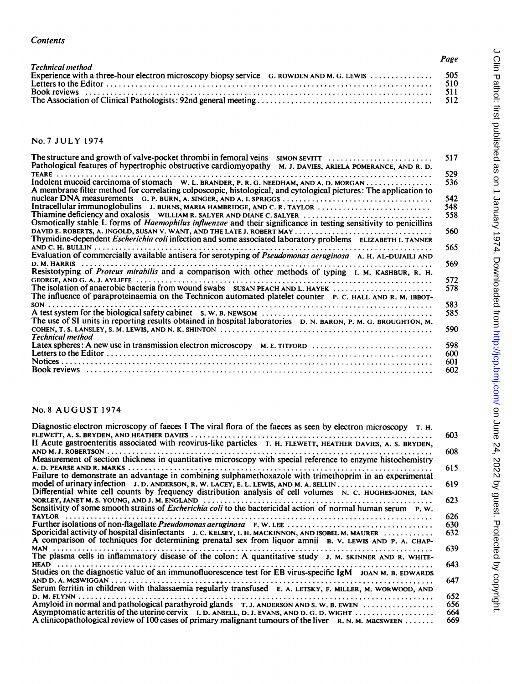| <b>Technical method</b> | Page |
|-------------------------|------|
|                         |      |
|                         |      |
|                         |      |

No.7 JULY 1974

| Pathological features of hypertrophic obstructive cardiomyopathy M. J. DAVIES, ARIELA POMERANCE, AND R. D.               | 517 |
|--------------------------------------------------------------------------------------------------------------------------|-----|
|                                                                                                                          | 529 |
| A membrane filter method for correlating colposcopic, histological, and cytological pictures: The application to         | 536 |
|                                                                                                                          | 542 |
| Intracellular immunoglobulins J. BURNS, MARIA HAMBRIDGE, AND C. R. TAYLOR                                                | 548 |
| Thiamine deficiency and oxalosis WILLIAM R. SALYER AND DIANE C. SALYER                                                   | 558 |
| Osmotically stable L forms of <i>Haemophilus influenzae</i> and their significance in testing sensitivity to penicillins |     |
|                                                                                                                          | 560 |
| Thymidine-dependent <i>Escherichia coli</i> infection and some associated laboratory problems ELIZABETH I. TANNER        |     |
|                                                                                                                          | 565 |
| Evaluation of commercially available antisera for serotyping of Pseudomonas aeruginosa A. H. AL-DUJAILI AND              |     |
| D. M. HARRIS                                                                                                             | 569 |
| Resistotyping of Proteus mirabilis and a comparison with other methods of typing I. M. KASHBUR, R. H.                    |     |
|                                                                                                                          | 572 |
| The isolation of anaerobic bacteria from wound swabs SUSAN PEACH AND L. HAYEK                                            | 578 |
| The influence of paraproteinaemia on the Technicon automated platelet counter P. C. HALL AND R. M. IBBOT-                |     |
|                                                                                                                          | 583 |
|                                                                                                                          | 585 |
| The use of SI units in reporting results obtained in hospital laboratories D. N. BARON, P. M. G. BROUGHTON, M.           |     |
|                                                                                                                          | 590 |
| Technical method                                                                                                         |     |
| Latex spheres: A new use in transmission electron microscopy M. E. TITFORD                                               | 598 |
|                                                                                                                          | 600 |
|                                                                                                                          | 601 |
|                                                                                                                          | 602 |
|                                                                                                                          |     |

#### No. <sup>8</sup> AUGUST <sup>1974</sup>

|                                                                                                                                                                                                                                                         | 602        |
|---------------------------------------------------------------------------------------------------------------------------------------------------------------------------------------------------------------------------------------------------------|------------|
| <b>No. 8 AUGUST 1974</b>                                                                                                                                                                                                                                |            |
| Diagnostic electron microscopy of faeces I The viral flora of the faeces as seen by electron microscopy T. H.<br>II Acute gastroenteritis associated with reovirus-like particles T. H. FLEWETT, HEATHER DAVIES, A. S. BRYDEN,                          | 603<br>608 |
| Measurement of section thickness in quantitative microscopy with special reference to enzyme histochemistry                                                                                                                                             | 615        |
| Failure to demonstrate an advantage in combining sulphamethoxazole with trimethoprim in an experimental<br>Differential white cell counts by frequency distribution analysis of cell volumes N. C. HUGHES-JONES, IAN                                    | 619        |
| Sensitivity of some smooth strains of <i>Escherichia coli</i> to the bactericidal action of normal human serum P. W.                                                                                                                                    | 623<br>626 |
| Sporicidal activity of hospital disinfectants J. C. KELSEY, I. H. MACKINNON, AND ISOBEL M. MAURER<br>A comparison of techniques for determining prenatal sex from liquor amnii B. V. LEWIS AND P. A. CHAP-                                              | 630<br>632 |
| The plasma cells in inflammatory disease of the colon: A quantitative study J. M. SKINNER AND R. WHITE-                                                                                                                                                 | 639        |
| Studies on the diagnostic value of an immunofluorescence test for EB virus-specific IgM JOAN M. B. EDWARDS                                                                                                                                              | 643<br>647 |
| Serum ferritin in children with thalassaemia regularly transfused E. A. LETSKY, F. MILLER, M. WORWOOD, AND<br>D. M. FLYNN<br>Amyloid in normal and pathological parathyroid glands $T, J$ . ANDERSON AND S. W. B. EWEN $\ldots, \ldots, \ldots, \ldots$ | 652<br>656 |
| Asymptomatic arteritis of the uterine cervix I. D. ANSELL, D. J. EVANS, AND D. G. D. WIGHT<br>A clinicopathological review of 100 cases of primary malignant tumours of the liver $R, N, M$ . MacSWEEN                                                  | 664<br>669 |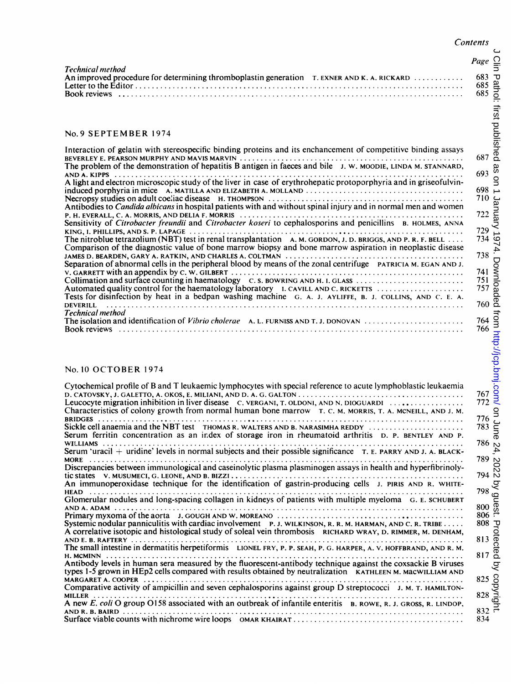$\subset$ 

|                                                                                                                | Contents          |
|----------------------------------------------------------------------------------------------------------------|-------------------|
| <b>Technical method</b>                                                                                        | Page              |
| An improved procedure for determining thromboplastin generation T. EXNER AND K. A. RICKARD                     | 683<br>685<br>685 |
| No. 9 SEPTEMBER 1974                                                                                           |                   |
| Interaction of gelatin with stereospecific binding proteins and its enchancement of competitive binding assays |                   |

#### No.9 SEPTEMBER <sup>1974</sup>

| Interaction of gelatin with stereospecific binding proteins and its enchancement of competitive binding assays<br>The problem of the demonstration of hepatitis B antigen in faeces and bile J. W. MOODIE, LINDA M. STANNARD,        | 687<br>693 |
|--------------------------------------------------------------------------------------------------------------------------------------------------------------------------------------------------------------------------------------|------------|
| A light and electron microscopic study of the liver in case of erythrohepatic protoporphyria and in griseofulvin-                                                                                                                    | 698        |
| Antibodies to Candida albicans in hospital patients with and without spinal injury and in normal men and women                                                                                                                       | 710        |
| Sensitivity of Citrobacter freundii and Citrobacter koseri to cephalosporins and penicillins B. HOLMES, ANNA                                                                                                                         | 722        |
| The nitroblue tetrazolium (NBT) test in renal transplantation $A$ . M. GORDON, J. D. BRIGGS, AND P. R. F. BELL $\ldots$<br>Comparison of the diagnostic value of bone marrow biopsy and bone marrow aspiration in neoplastic disease | 729<br>734 |
| Separation of abnormal cells in the peripheral blood by means of the zonal centrifuge PATRICIAM. EGAN AND J.                                                                                                                         | 738        |
|                                                                                                                                                                                                                                      | 741        |
| Collimation and surface counting in haematology $C.S.$ BOWRING AND H. I. GLASS $\ldots$                                                                                                                                              | 751        |
| Automated quality control for the haematology laboratory I. CAVILL AND C. RICKETTS $\ldots$<br>Tests for disinfection by heat in a bedpan washing machine G. A. J. AYLIFFE, B. J. COLLINS, AND C. E. A.                              | 757        |
| Technical method                                                                                                                                                                                                                     | 760        |
|                                                                                                                                                                                                                                      | 764<br>766 |

#### No. <sup>10</sup> OCTOBER <sup>1974</sup>

| Technical method                                                                                                                                                                                                                                                                                                                                                                                                                                                                                                                                                                                                                                                                                                                                                                                                                                                                                                                                                                                                                                                                                                 | $Page \frac{O}{\overline{S}}$                                                                                                                                                                                                                                                                                               |
|------------------------------------------------------------------------------------------------------------------------------------------------------------------------------------------------------------------------------------------------------------------------------------------------------------------------------------------------------------------------------------------------------------------------------------------------------------------------------------------------------------------------------------------------------------------------------------------------------------------------------------------------------------------------------------------------------------------------------------------------------------------------------------------------------------------------------------------------------------------------------------------------------------------------------------------------------------------------------------------------------------------------------------------------------------------------------------------------------------------|-----------------------------------------------------------------------------------------------------------------------------------------------------------------------------------------------------------------------------------------------------------------------------------------------------------------------------|
| An improved procedure for determining thromboplastin generation T. EXNER AND K. A. RICKARD                                                                                                                                                                                                                                                                                                                                                                                                                                                                                                                                                                                                                                                                                                                                                                                                                                                                                                                                                                                                                       | $683$ <u>P</u><br>$685$ $\frac{34}{15}$<br>$685$ $\frac{34}{15}$                                                                                                                                                                                                                                                            |
| No. 9 SEPTEMBER 1974<br>Interaction of gelatin with stereospecific binding proteins and its enchancement of competitive binding assays<br>The problem of the demonstration of hepatitis B antigen in faeces and bile J. W. MOODIE, LINDA M. STANNARD,<br>A light and electron microscopic study of the liver in case of erythrohepatic protoporphyria and in griseofulvin-<br>induced porphyria in mice A. MATILLA AND ELIZABETH A. MOLLAND $\ldots \ldots \ldots \ldots \ldots \ldots \ldots \ldots \ldots \ldots \ldots$<br>Antibodies to Candida albicans in hospital patients with and without spinal injury and in normal men and women<br>Sensitivity of Citrobacter freundii and Citrobacter koseri to cephalosporins and penicillins B. HOLMES, ANNA                                                                                                                                                                                                                                                                                                                                                     | s<br>Pelished<br>Sang :<br>$693\frac{8}{6}$<br>$\mathsf{S}$<br>$698 \rightarrow$<br>$710$ $\frac{6}{22}$<br>$722$ $\frac{6}{22}$<br>$729 -$<br>0 734                                                                                                                                                                        |
| The nitroblue tetrazolium (NBT) test in renal transplantation $A. M. GORDON, J. D. BRIGGS, AND P. R. F. BELL $<br>Comparison of the diagnostic value of bone marrow biopsy and bone marrow aspiration in neoplastic disease<br>Separation of abnormal cells in the peripheral blood by means of the zonal centrifuge PATRICIAM. EGAN AND J.<br>Collimation and surface counting in haematology C.S. BOWRING AND H.I. GLASS<br>Automated quality control for the haematology laboratory I. CAVILL AND C. RICKETTS<br>Tests for disinfection by heat in a bedpan washing machine G. A. J. AYLIFFE, B. J. COLLINS, AND C. E. A.<br>Technical method                                                                                                                                                                                                                                                                                                                                                                                                                                                                 | $738 \frac{15}{15}$<br>$738$<br>$741$<br>$751$<br>$757$<br>$760$ $\overline{2}$                                                                                                                                                                                                                                             |
| No. 10 OCTOBER 1974<br>Cytochemical profile of B and T leukaemic lymphocytes with special reference to acute lymphoblastic leukaemia<br>Leucocyte migration inhibition in liver disease C. VERGANI, T. OLDONI, AND N. DIOGUARDI<br>Characteristics of colony growth from normal human bone marrow T. C. M. MORRIS, T. A. MCNEILL, AND J. M.<br>Sickle cell anaemia and the NBT test THOMAS R. WALTERS AND B. NARASIMHA REDDY<br>Serum ferritin concentration as an index of storage iron in rheumatoid arthritis D. P. BENTLEY AND P.<br>Serum 'uracil + uridine' levels in normal subjects and their possible significance $T$ . E. PARRY AND J. A. BLACK-<br>Discrepancies between immunological and caseinolytic plasma plasminogen assays in health and hyperfibrinoly-<br>An immunoperoxidase technique for the identification of gastrin-producing cells J. PIRIS AND R. WHITE-<br>Glomerular nodules and long-spacing collagen in kidneys of patients with multiple myeloma G. E. SCHUBERT<br>Systemic nodular panniculitis with cardiac involvement $P, J$ . WILKINSON, R. R. M. HARMAN, AND C. R. TRIBE | $\begin{array}{r}\n 764 \\  766 \\  \hline\n 766 \\  \hline\n 772\n \end{array}$<br>$\frac{9}{776}$<br>$\frac{9}{783}$<br>$\frac{6}{56}$<br>$786\,$ $\circ$<br>4.<br>يا 789<br>$\frac{2}{194}$<br>$798\frac{g}{9}$<br>$\begin{matrix} 800 \\ 806 \end{matrix}$ $\begin{matrix} 6 \\ 4 \end{matrix}$<br>$808$ $\overline{v}$ |
| A correlative isotopic and histological study of soleal vein thrombosis RICHARD WRAY, D. RIMMER, M. DENHAM,<br>The small intestine in dermatitis herpetiformis LIONEL FRY, P. P. SEAH, P. G. HARPER, A. V. HOFFBRAND, AND R. M.<br>Antibody levels in human sera measured by the fluorescent-antibody technique against the coxsackie B viruses<br>types 1-5 grown in HEp2 cells compared with results obtained by neutralization KATHLEEN M. MacWILLIAM AND<br>Comparative activity of ampicillin and seven cephalosporins against group D streptococci J. M. T. HAMILTON-<br>A new E. coli O group O158 associated with an outbreak of infantile enteritis B. ROWE, R. J. GROSS, R. LINDOP,                                                                                                                                                                                                                                                                                                                                                                                                                    | $813 \overline{6}$<br>$817 \overline{6}$<br>्र<br>$825\frac{8}{25}$<br>$828\frac{8}{25}$<br>ō<br>$832 \frac{1}{5}$<br>834                                                                                                                                                                                                   |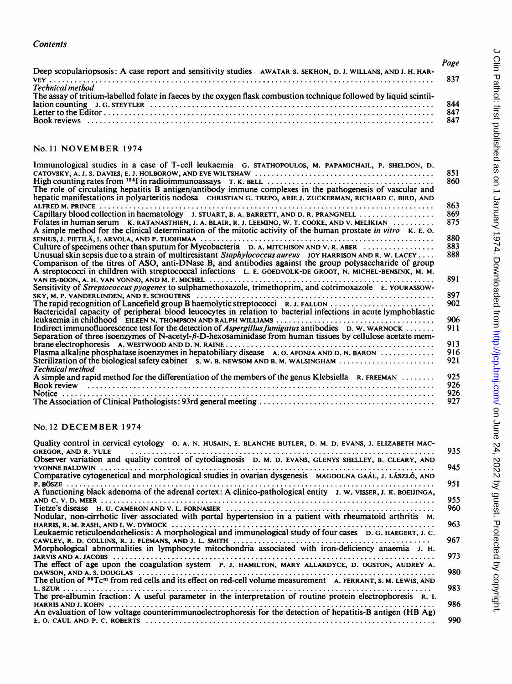| <b>Contents</b>                                                                                                                         |                   |
|-----------------------------------------------------------------------------------------------------------------------------------------|-------------------|
|                                                                                                                                         | Page              |
| Deep scopulariopsosis: A case report and sensitivity studies AWATAR S. SEKHON, D. J. WILLANS, AND J. H. HAR-<br><b>Technical method</b> | 837               |
| The assay of tritium-labelled folate in faeces by the oxygen flask combustion technique followed by liquid scintil-                     | 844<br>847<br>847 |
| No. 11 NOVEMBER 1974                                                                                                                    |                   |
| Immunological studies in a case of T-cell leukaemia. G. STATHOPOULOS, M. PAPAMICHAIL, P. SHELDON, D.                                    |                   |

#### No. <sup>11</sup> NOVEMBER <sup>1974</sup>

| Immunological studies in a case of T-cell leukaemia G. STATHOPOULOS, M. PAPAMICHAIL, P. SHELDON, D.<br>The role of circulating hepatitis B antigen/antibody immune complexes in the pathogenesis of vascular and<br>hepatic manifestations in polyarteritis nodosa CHRISTIAN G. TREPO, ARIE J. ZUCKERMAN, RICHARD C. BIRD, AND                                                                                                                 | 851<br>860               |
|------------------------------------------------------------------------------------------------------------------------------------------------------------------------------------------------------------------------------------------------------------------------------------------------------------------------------------------------------------------------------------------------------------------------------------------------|--------------------------|
| Folates in human serum K. RATANASTHIEN, J. A. BLAIR, R. J. LEEMING, W. T. COOKE, AND V. MELIKIAN<br>A simple method for the clinical determination of the mitotic activity of the human prostate in vitro K. E. O.                                                                                                                                                                                                                             | 863<br>869<br>875<br>880 |
| Culture of specimens other than sputum for Mycobacteria $D$ . A. MITCHISON AND V. R. ABER $\ldots$<br>Unusual skin sepsis due to a strain of multiresistant <i>Staphylococcus aureus</i> JOY HARRISON AND R. W. LACEY<br>Comparison of the titres of ASO, anti-DNase B, and antibodies against the group polysaccharide of group<br>A streptococci in children with streptococcal infections L. E. GOEDVOLK-DE GROOT, N. MICHEL-BENSINK, M. M. | 883<br>888               |
| Sensitivity of Streptococcus pyogenes to sulphamethoxazole, trimethoprim, and cotrimoxazole E. YOURASSOW-                                                                                                                                                                                                                                                                                                                                      | 891                      |
| Bactericidal capacity of peripheral blood leucocytes in relation to bacterial infections in acute lymphoblastic                                                                                                                                                                                                                                                                                                                                | 897<br>902<br>906        |
| Indirect immunofluorescence test for the detection of Aspergillus fumigatus antibodies $D, W, W$ ARNOCK<br>Separation of three isoenzymes of N-acetyl- $\beta$ -D-hexosaminidase from human tissues by cellulose acetate mem-                                                                                                                                                                                                                  | 911                      |
| Plasma alkaline phosphatase isoenzymes in hepatobiliary disease A. O. AFONJA AND D. N. BARON<br>Sterilization of the biological safety cabinet $s, w, s$ , newsom and $s, m, w$ also $m, , , , ,$                                                                                                                                                                                                                                              | 913<br>916<br>921        |
| <b>Technical method</b><br>A simple and rapid method for the differentiation of the members of the genus Klebsiella R. FREEMAN                                                                                                                                                                                                                                                                                                                 | 925<br>926<br>926<br>927 |
| No. 12 DECEMBER 1974                                                                                                                                                                                                                                                                                                                                                                                                                           |                          |
| Quality control in cervical cytology O. A. N. HUSAIN, E. BLANCHE BUTLER, D. M. D. EVANS, J. ELIZABETH MAC-<br>GREGOR, AND R. YULE<br>Observer variation and quality control of cytodiagnosis D. M. D. EVANS, GLENYS SHELLEY, B. CLEARY, AND                                                                                                                                                                                                    | 935                      |
| Comparative cytogenetical and morphological studies in ovarian dysgenesis MAGDOLNA GAÁL, J. LÁSZLÓ, AND                                                                                                                                                                                                                                                                                                                                        | 945                      |
|                                                                                                                                                                                                                                                                                                                                                                                                                                                | 951                      |
| Nodular, non-cirrhotic liver associated with portal hypertension in a patient with rheumatoid arthritis M.                                                                                                                                                                                                                                                                                                                                     | 955<br>960<br>963        |
|                                                                                                                                                                                                                                                                                                                                                                                                                                                | ሰረግ                      |

#### No. <sup>12</sup> DECEMBER <sup>1974</sup>

| Quality control in cervical cytology o. A. N. HUSAIN, E. BLANCHE BUTLER, D. M. D. EVANS, J. ELIZABETH MAC-<br><b>GREGOR, AND R. YULE</b> | 935        |
|------------------------------------------------------------------------------------------------------------------------------------------|------------|
| Observer variation and quality control of cytodiagnosis D. M. D. EVANS, GLENYS SHELLEY, B. CLEARY, AND<br>YVONNE BALDWIN                 | 945        |
| Comparative cytogenetical and morphological studies in ovarian dysgenesis MAGDOLNA GAÁL, J. LÁSZLÓ, AND                                  | 951        |
| A functioning black adenoma of the adrenal cortex: A clinico-pathological entity $J. W. VISSER, J. K. BOEUINGA,$                         | 955        |
| Nodular, non-cirrhotic liver associated with portal hypertension in a patient with rheumatoid arthritis M.                               | 960        |
| Leukaemic reticuloendotheliosis: A morphological and immunological study of four cases D. G. HAEGERT, J. C.                              | 963<br>967 |
| Morphological abnormalities in lymphocyte mitochondria associated with iron-deficiency anaemia J. H.                                     | 973        |
| The effect of age upon the coagulation system P. J. HAMILTON, MARY ALLARDYCE, D. OGSTON, AUDREY A.                                       | 980        |
| The elution of <sup>99</sup> Tc <sup>m</sup> from red cells and its effect on red-cell volume measurement A. FERRANT, S. M. LEWIS, AND   | 983        |
| The pre-albumin fraction: A useful parameter in the interpretation of routine protein electrophoresis R. I.                              | 986        |
| An evaluation of low voltage counterimmunoelectrophoresis for the detection of hepatitis-B antigen (HB Ag)                               | 990        |